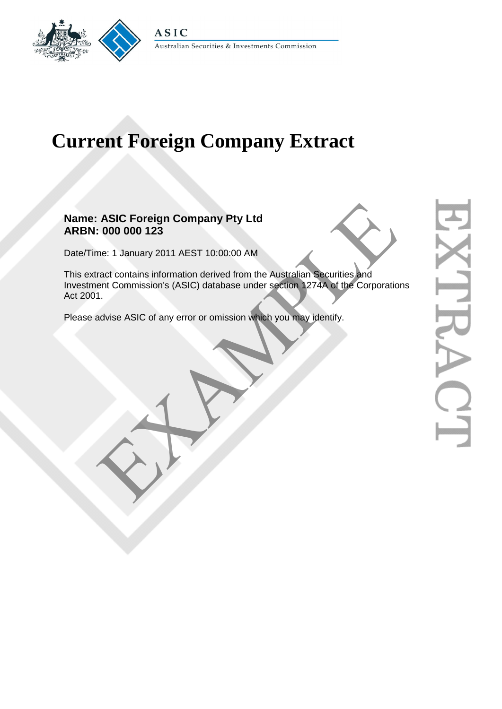

# **Current Foreign Company Extract**

# **Name: ASIC Foreign Company Pty Ltd ARBN: 000 000 123**

Date/Time: 1 January 2011 AEST 10:00:00 AM

This extract contains information derived from the Australian Securities and Investment Commission's (ASIC) database under section 1274A of the Corporations Act 2001. ASIC Foreign Company Pty Ltd<br>
1. 000 000 123<br>
me: 1 January 2011 AEST 10:00:00 AM<br>
ract contains information derived from the Australian Securities and<br>
ent Commission's (ASIC) database under section 1274A of the Corporati

Please advise ASIC of any error or omission which you may identify.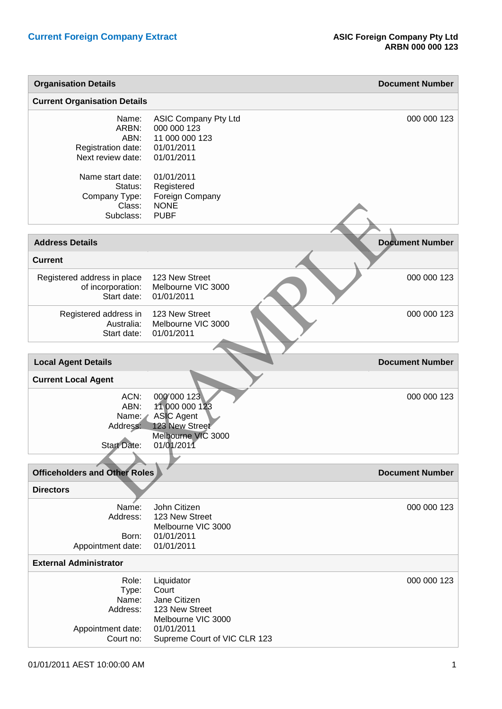| <b>Current Organisation Details</b><br>Name:<br><b>ASIC Company Pty Ltd</b><br>000 000 123<br>ARBN:<br>11 000 000 123<br>ABN:<br>01/01/2011<br>Registration date:<br>Next review date:<br>01/01/2011<br>Name start date:<br>01/01/2011<br>Status:<br>Registered<br>Company Type:<br>Foreign Company<br><b>NONE</b><br>Class:<br><b>PUBF</b><br>Subclass:<br><b>Document Number</b><br><b>Address Details</b><br><b>Current</b><br>123 New Street<br>Registered address in place<br>Melbourne VIC 3000<br>of incorporation:<br>Start date:<br>01/01/2011<br>123 New Street<br>Registered address in<br>Melbourne VIC 3000<br>Australia:<br>01/01/2011<br>Start date:<br><b>Local Agent Details</b><br><b>Document Number</b><br><b>Current Local Agent</b><br>ACN:<br>000 000 123<br>ABN:<br>11 000 000 123<br>ASIC Agent<br>Name:<br>123 New Street<br>Address:<br>Melbourne VIC 3000<br><b>Start Date:</b><br>01/01/2011<br><b>Officeholders and Other Roles</b><br><b>Document Number</b><br><b>Directors</b><br>John Citizen<br>Name:<br>Address:<br>123 New Street<br>Melbourne VIC 3000<br>01/01/2011<br>Born:<br>01/01/2011<br>Appointment date:<br><b>External Administrator</b><br>Role:<br>Liquidator<br>Court<br>Type: | <b>Organisation Details</b> |              | <b>Document Number</b> |
|----------------------------------------------------------------------------------------------------------------------------------------------------------------------------------------------------------------------------------------------------------------------------------------------------------------------------------------------------------------------------------------------------------------------------------------------------------------------------------------------------------------------------------------------------------------------------------------------------------------------------------------------------------------------------------------------------------------------------------------------------------------------------------------------------------------------------------------------------------------------------------------------------------------------------------------------------------------------------------------------------------------------------------------------------------------------------------------------------------------------------------------------------------------------------------------------------------------------------------|-----------------------------|--------------|------------------------|
|                                                                                                                                                                                                                                                                                                                                                                                                                                                                                                                                                                                                                                                                                                                                                                                                                                                                                                                                                                                                                                                                                                                                                                                                                                  |                             |              |                        |
|                                                                                                                                                                                                                                                                                                                                                                                                                                                                                                                                                                                                                                                                                                                                                                                                                                                                                                                                                                                                                                                                                                                                                                                                                                  |                             |              | 000 000 123            |
|                                                                                                                                                                                                                                                                                                                                                                                                                                                                                                                                                                                                                                                                                                                                                                                                                                                                                                                                                                                                                                                                                                                                                                                                                                  |                             |              |                        |
|                                                                                                                                                                                                                                                                                                                                                                                                                                                                                                                                                                                                                                                                                                                                                                                                                                                                                                                                                                                                                                                                                                                                                                                                                                  |                             |              |                        |
|                                                                                                                                                                                                                                                                                                                                                                                                                                                                                                                                                                                                                                                                                                                                                                                                                                                                                                                                                                                                                                                                                                                                                                                                                                  |                             |              |                        |
|                                                                                                                                                                                                                                                                                                                                                                                                                                                                                                                                                                                                                                                                                                                                                                                                                                                                                                                                                                                                                                                                                                                                                                                                                                  |                             |              | 000 000 123            |
|                                                                                                                                                                                                                                                                                                                                                                                                                                                                                                                                                                                                                                                                                                                                                                                                                                                                                                                                                                                                                                                                                                                                                                                                                                  |                             |              | 000 000 123            |
|                                                                                                                                                                                                                                                                                                                                                                                                                                                                                                                                                                                                                                                                                                                                                                                                                                                                                                                                                                                                                                                                                                                                                                                                                                  |                             |              |                        |
|                                                                                                                                                                                                                                                                                                                                                                                                                                                                                                                                                                                                                                                                                                                                                                                                                                                                                                                                                                                                                                                                                                                                                                                                                                  |                             |              |                        |
|                                                                                                                                                                                                                                                                                                                                                                                                                                                                                                                                                                                                                                                                                                                                                                                                                                                                                                                                                                                                                                                                                                                                                                                                                                  |                             |              |                        |
|                                                                                                                                                                                                                                                                                                                                                                                                                                                                                                                                                                                                                                                                                                                                                                                                                                                                                                                                                                                                                                                                                                                                                                                                                                  |                             |              | 000 000 123            |
|                                                                                                                                                                                                                                                                                                                                                                                                                                                                                                                                                                                                                                                                                                                                                                                                                                                                                                                                                                                                                                                                                                                                                                                                                                  |                             |              |                        |
|                                                                                                                                                                                                                                                                                                                                                                                                                                                                                                                                                                                                                                                                                                                                                                                                                                                                                                                                                                                                                                                                                                                                                                                                                                  |                             |              |                        |
|                                                                                                                                                                                                                                                                                                                                                                                                                                                                                                                                                                                                                                                                                                                                                                                                                                                                                                                                                                                                                                                                                                                                                                                                                                  |                             |              |                        |
|                                                                                                                                                                                                                                                                                                                                                                                                                                                                                                                                                                                                                                                                                                                                                                                                                                                                                                                                                                                                                                                                                                                                                                                                                                  |                             |              | 000 000 123            |
|                                                                                                                                                                                                                                                                                                                                                                                                                                                                                                                                                                                                                                                                                                                                                                                                                                                                                                                                                                                                                                                                                                                                                                                                                                  |                             |              |                        |
| Address:<br>123 New Street<br>Melbourne VIC 3000<br>01/01/2011<br>Appointment date:<br>Supreme Court of VIC CLR 123<br>Court no:                                                                                                                                                                                                                                                                                                                                                                                                                                                                                                                                                                                                                                                                                                                                                                                                                                                                                                                                                                                                                                                                                                 | Name:                       | Jane Citizen | 000 000 123            |